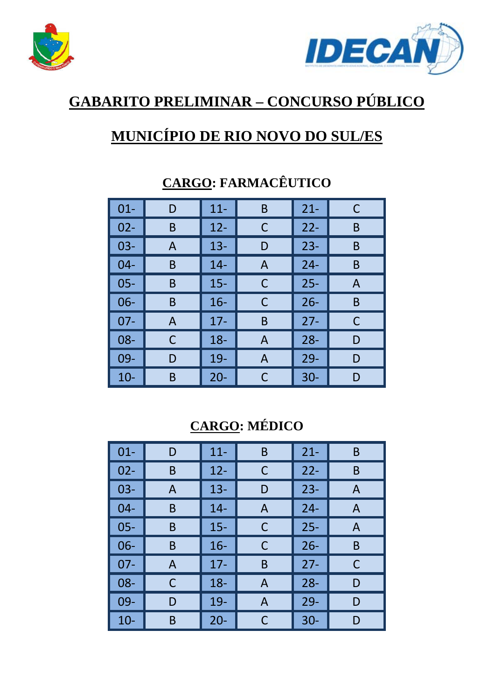



## **GABARITO PRELIMINAR – CONCURSO PÚBLICO**

## **MUNICÍPIO DE RIO NOVO DO SUL/ES**

| $01 -$ | D | $11 -$ | B | $21 -$ | C |
|--------|---|--------|---|--------|---|
| $02 -$ | B | $12 -$ | C | $22-$  | B |
| $03 -$ | A | $13 -$ | D | $23 -$ | B |
| 04-    | B | $14 -$ | A | $24 -$ | B |
| $05 -$ | B | $15 -$ | C | $25 -$ | A |
| $06 -$ | B | $16 -$ | C | $26 -$ | B |
| $07-$  | A | $17 -$ | B | $27 -$ | C |
| 08-    | C | $18 -$ | A | $28 -$ | D |
| 09-    | D | 19-    | A | $29 -$ | D |
| $10 -$ | B | $20 -$ | C | $30 -$ | D |

## **CARGO: FARMACÊUTICO**

### **CARGO: MÉDICO**

| $01 -$ | D            | $11 -$ | B | $21 -$ | B |
|--------|--------------|--------|---|--------|---|
| $02 -$ | B            | $12 -$ | С | $22 -$ | B |
| $03 -$ | $\mathsf{A}$ | $13 -$ | D | $23 -$ | A |
| $04 -$ | B            | $14 -$ | A | $24 -$ | A |
| $05 -$ | B            | $15 -$ | С | $25 -$ | A |
| $06 -$ | B            | $16 -$ | С | $26 -$ | B |
| $07 -$ | A            | $17 -$ | B | $27 -$ | C |
| 08-    | C            | $18 -$ | A | $28 -$ | D |
| $09 -$ | D            | 19-    | A | $29 -$ | D |
| $10 -$ | Β            | $20 -$ | C | $30 -$ | D |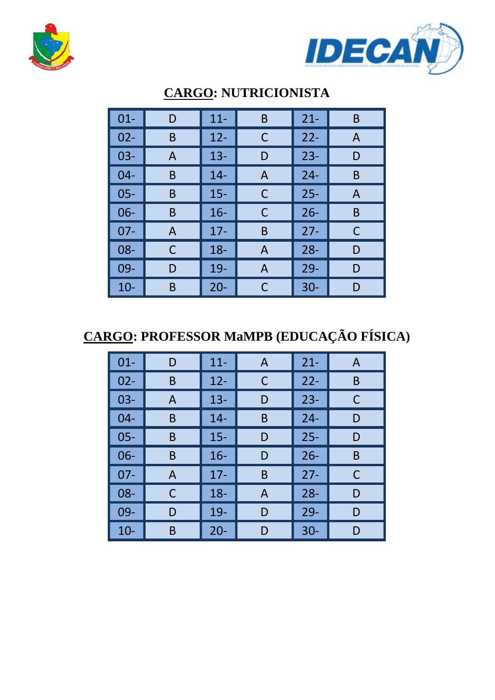



| $01 -$ | D            | $11 -$ | B | $21 -$ | B |
|--------|--------------|--------|---|--------|---|
| $02 -$ | B            | $12 -$ | C | $22 -$ | A |
| $03 -$ | A            | $13 -$ | D | $23 -$ | D |
| $04 -$ | Β            | $14 -$ | A | $24 -$ | B |
| $05 -$ | Β            | $15 -$ | C | $25 -$ | A |
| 06-    | Β            | $16 -$ | C | $26 -$ | B |
| $07-$  | $\mathsf{A}$ | $17 -$ | B | $27 -$ | С |
| $08 -$ | С            | $18 -$ | A | $28 -$ | D |
| 09-    | D            | 19-    | A | $29 -$ | D |
| $10-$  | B            | $20 -$ | C | $30 -$ | D |

## **CARGO: NUTRICIONISTA**

## **CARGO: PROFESSOR MaMPB (EDUCAÇÃO FÍSICA)**

| $01 -$ | D | $11 -$ | A | $21 -$ | A |
|--------|---|--------|---|--------|---|
| $02 -$ | B | $12 -$ | C | $22 -$ | B |
| $03 -$ | A | $13 -$ | D | $23 -$ | C |
| $04 -$ | B | $14 -$ | B | $24 -$ | D |
| $05 -$ | B | $15 -$ | D | $25 -$ | D |
| $06 -$ | B | $16 -$ | D | $26 -$ | B |
| $07 -$ | A | $17 -$ | B | $27 -$ | C |
| $08 -$ | С | $18 -$ | A | $28 -$ | D |
| 09-    | D | 19-    | D | $29 -$ | D |
| $10 -$ | B | $20 -$ | D | $30 -$ | D |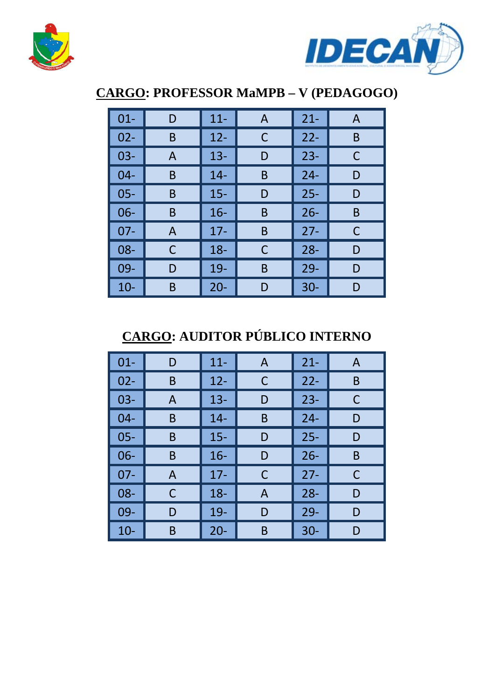



### **CARGO: PROFESSOR MaMPB – V (PEDAGOGO)**

| $01 -$ | D | $11 -$ | A | $21 -$ | A |
|--------|---|--------|---|--------|---|
| $02 -$ | B | $12 -$ | С | $22 -$ | B |
| $03 -$ | A | $13 -$ | D | $23 -$ | C |
| $04 -$ | B | $14 -$ | B | $24 -$ | D |
| $05 -$ | B | $15 -$ | D | $25 -$ | D |
| $06 -$ | Β | $16 -$ | B | $26 -$ | B |
| $07 -$ | A | $17 -$ | B | $27 -$ | C |
| 08-    | C | $18 -$ | С | $28 -$ | D |
| 09-    | D | 19-    | Β | $29 -$ | D |
| $10-$  | B | $20 -$ | D | $30 -$ | D |

## **CARGO: AUDITOR PÚBLICO INTERNO**

| $01 -$ | D | $11 -$ | A | $21 -$ | A |
|--------|---|--------|---|--------|---|
| $02 -$ | B | $12 -$ | С | $22 -$ | B |
| $03 -$ | A | $13 -$ | D | $23 -$ | С |
| $04 -$ | B | $14 -$ | B | $24 -$ | D |
| $05 -$ | B | $15 -$ | D | $25 -$ | D |
| $06 -$ | B | $16 -$ | D | $26 -$ | B |
| $07 -$ | A | $17 -$ | С | $27 -$ | C |
| 08-    | С | $18 -$ | A | $28 -$ | D |
| 09-    | D | 19-    | D | $29 -$ | D |
| $10-$  | Β | $20 -$ | B | $30 -$ | D |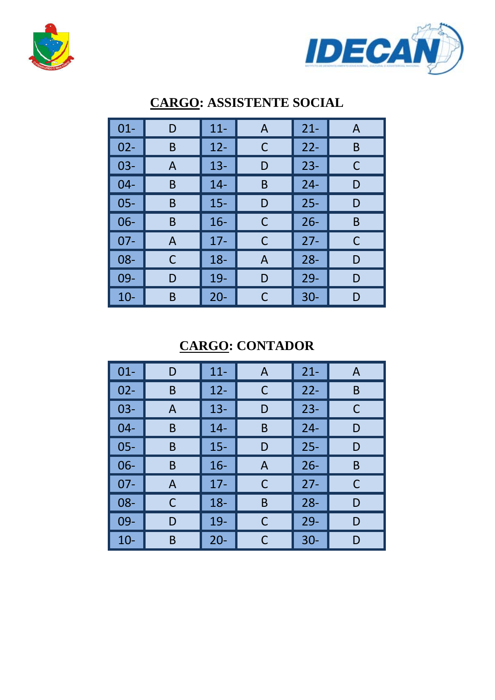



| $01 -$ | D  | $11 -$ | A | $21 -$ | A |
|--------|----|--------|---|--------|---|
| $02 -$ | B  | $12 -$ | С | $22 -$ | B |
| $03 -$ | A  | $13 -$ | D | $23 -$ | C |
| $04 -$ | B  | $14 -$ | B | $24 -$ | D |
| $05 -$ | B  | $15 -$ | D | $25 -$ | D |
| $06 -$ | B  | $16 -$ | С | $26 -$ | B |
| $07 -$ | A  | $17 -$ | C | $27 -$ | C |
| $08 -$ | C  | $18 -$ | A | $28 -$ | D |
| 09-    | I) | 19-    | D | $29 -$ | D |
| $10 -$ | B  | $20 -$ | C | $30 -$ | D |

#### **CARGO: ASSISTENTE SOCIAL**

**CARGO: CONTADOR** 

| $01 -$ | D | $11 -$ | $\mathsf{A}$ | $21 -$ | A |
|--------|---|--------|--------------|--------|---|
| $02 -$ | B | $12 -$ | C            | $22 -$ | B |
| $03 -$ | A | $13 -$ | D            | $23 -$ | C |
| $04 -$ | B | $14 -$ | B            | $24 -$ | D |
| $05 -$ | B | $15 -$ | D            | $25 -$ | D |
| $06 -$ | B | $16 -$ | $\mathsf{A}$ | $26 -$ | B |
| $07 -$ | A | $17 -$ | C            | $27 -$ | C |
| 08-    | C | $18 -$ | B            | $28 -$ | D |
| 09-    | D | 19-    | С            | $29 -$ | D |
| $10 -$ | Β | $20 -$ | C            | $30 -$ | D |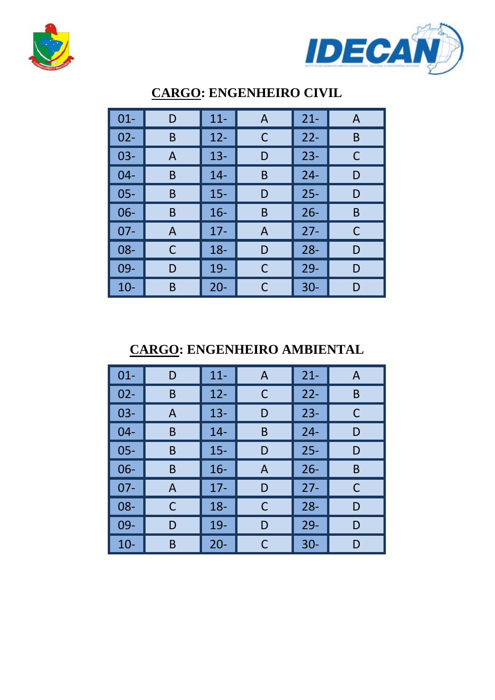



| $01 -$ | D | $11 -$ | A | $21 -$ | $\mathsf{A}$ |
|--------|---|--------|---|--------|--------------|
| $02 -$ | B | $12 -$ | C | $22 -$ | B            |
| $03 -$ | A | $13 -$ | D | $23 -$ | C            |
| $04 -$ | B | $14 -$ | B | $24 -$ | D            |
| $05 -$ | B | $15 -$ | D | $25 -$ | D            |
| $06 -$ | B | $16 -$ | B | $26 -$ | B            |
| $07 -$ | A | $17 -$ | A | $27 -$ | C            |
| 08-    | C | $18 -$ | D | $28 -$ | D            |
| 09-    | D | 19-    | С | $29-$  | D            |
| $10 -$ | B | $20 -$ | С | $30 -$ | D            |

### **CARGO: ENGENHEIRO CIVIL**

**CARGO: ENGENHEIRO AMBIENTAL** 

| $01 -$ | D | $11 -$ | A | $21 -$ | A |
|--------|---|--------|---|--------|---|
| $02 -$ | B | $12 -$ | С | $22 -$ | B |
| $03 -$ | A | $13 -$ | D | $23 -$ | C |
| $04 -$ | B | $14 -$ | B | $24 -$ | D |
| $05 -$ | B | $15 -$ | D | $25 -$ | D |
| $06 -$ | B | $16 -$ | A | $26 -$ | B |
| $07 -$ | A | $17 -$ | D | $27 -$ | C |
| 08-    | C | $18 -$ | C | $28 -$ | D |
| 09-    | D | $19-$  | D | $29 -$ | D |
| $10 -$ | B | $20 -$ | C | $30 -$ | D |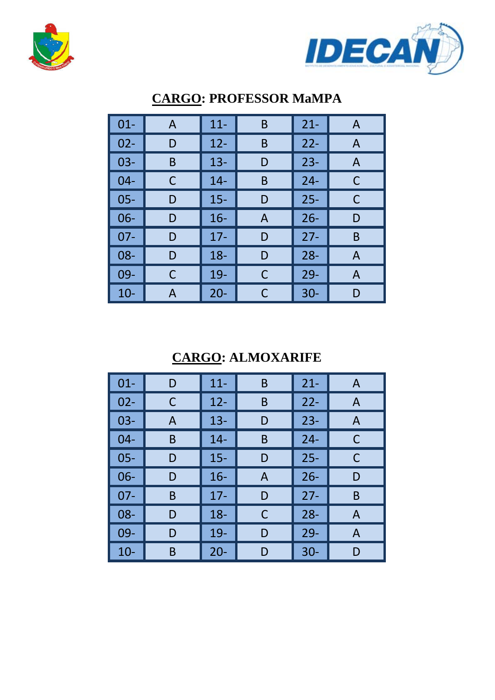



| $01 -$ | A | $11 -$ | B | $21 -$ | A |
|--------|---|--------|---|--------|---|
| $02 -$ | D | $12 -$ | B | $22 -$ | A |
| $03 -$ | B | $13 -$ | D | $23 -$ | A |
| $04 -$ | С | $14 -$ | B | $24 -$ | C |
| $05 -$ | D | $15 -$ | D | $25 -$ | C |
| $06 -$ | D | $16 -$ | A | $26 -$ | D |
| $07 -$ | D | $17 -$ | D | $27 -$ | B |
| 08-    | D | $18 -$ | D | $28 -$ | A |
| $09 -$ | С | 19-    | С | $29 -$ | A |
| 10-    | А | $20 -$ | C | $30 -$ | D |

### **CARGO: PROFESSOR MaMPA**

### **CARGO: ALMOXARIFE**

| $01 -$ | D | $11 -$ | B | $21 -$ | A |
|--------|---|--------|---|--------|---|
| $02 -$ | C | $12 -$ | B | $22 -$ | A |
| $03 -$ | A | $13 -$ | D | $23 -$ | A |
| $04 -$ | B | $14 -$ | B | $24 -$ | C |
| $05 -$ | D | $15 -$ | D | $25 -$ | C |
| 06-    | D | $16 -$ | A | $26 -$ | D |
| $07-$  | B | $17 -$ | D | $27 -$ | B |
| 08-    | D | $18 -$ | С | $28 -$ | A |
| 09-    | D | 19-    | D | $29 -$ | A |
| $10-$  | B | $20 -$ | D | $30 -$ | D |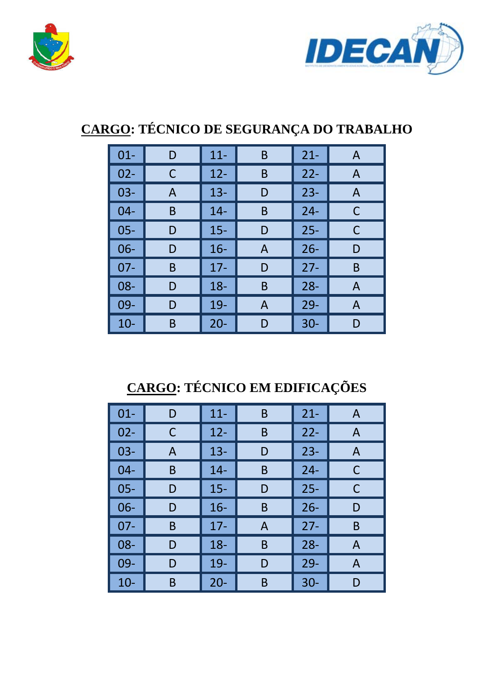



## **CARGO: TÉCNICO DE SEGURANÇA DO TRABALHO**

| $01 -$ | D | $11 -$ | B | $21 -$ | A |
|--------|---|--------|---|--------|---|
| $02 -$ | С | $12 -$ | B | $22 -$ | A |
| $03-$  | A | $13 -$ | D | $23 -$ | A |
| $04 -$ | B | $14 -$ | B | $24 -$ | С |
| $05 -$ | D | $15 -$ | D | $25 -$ | С |
| $06 -$ | D | $16 -$ | A | $26 -$ | D |
| $07 -$ | B | $17 -$ | D | $27 -$ | B |
| $08 -$ | D | $18 -$ | B | $28 -$ | A |
| 09-    | D | 19-    | A | $29 -$ | A |
| $10 -$ | B | $20 -$ | D | $30 -$ | D |

## **CARGO: TÉCNICO EM EDIFICAÇÕES**

| $01 -$ | D | $11 -$ | B | $21 -$ | A |
|--------|---|--------|---|--------|---|
| $02 -$ | С | $12 -$ | B | $22 -$ | A |
| $03 -$ | A | $13 -$ | D | $23 -$ | A |
| $04 -$ | B | $14 -$ | B | $24 -$ | С |
| $05 -$ | D | $15 -$ | D | $25 -$ | C |
| $06 -$ | D | $16 -$ | B | $26 -$ | D |
| $07 -$ | B | $17 -$ | Α | $27 -$ | B |
| $08 -$ | D | $18 -$ | B | $28 -$ | A |
| 09-    | D | 19-    | D | $29 -$ | A |
| $10 -$ | Β | $20 -$ | Β | $30 -$ | D |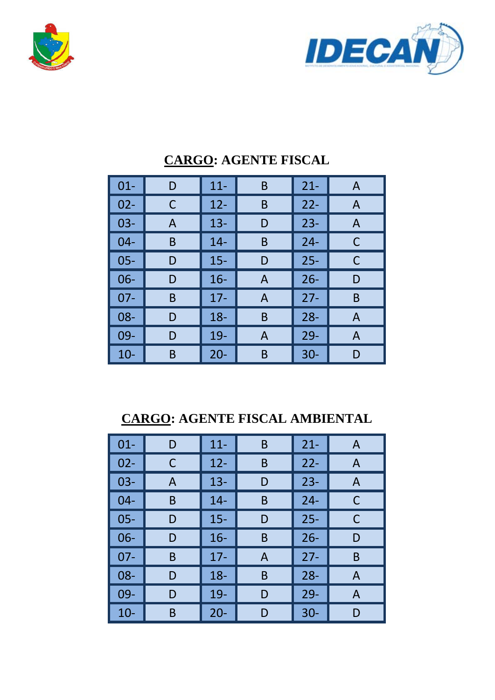



| $01 -$ | D | $11 -$ | B | $21 -$ | A |
|--------|---|--------|---|--------|---|
| $02 -$ | С | $12 -$ | B | $22 -$ | A |
| $03 -$ | A | $13 -$ | D | $23 -$ | A |
| 04-    | B | $14 -$ | B | $24 -$ | C |
| $05 -$ | D | $15 -$ | D | $25 -$ | C |
| $06 -$ | D | $16 -$ | A | $26 -$ | D |
| $07 -$ | B | $17 -$ | A | $27 -$ | B |
| 08-    | D | $18 -$ | B | $28 -$ | A |
| 09-    | D | 19-    | A | $29 -$ | A |
| $10 -$ | B | $20 -$ | B | $30 -$ | D |

#### **CARGO: AGENTE FISCAL**

**CARGO: AGENTE FISCAL AMBIENTAL** 

| $01 -$ | D | $11 -$ | B | $21 -$ | A              |
|--------|---|--------|---|--------|----------------|
| $02 -$ | C | $12 -$ | B | $22 -$ | $\overline{A}$ |
| $03 -$ | A | $13 -$ | D | $23 -$ | A              |
| $04 -$ | B | $14 -$ | B | $24 -$ | C              |
| $05 -$ | D | $15 -$ | D | $25 -$ | C              |
| $06 -$ | D | $16 -$ | B | $26 -$ | D              |
| $07 -$ | B | $17 -$ | A | $27 -$ | B              |
| 08-    | D | $18 -$ | B | $28 -$ | $\mathsf{A}$   |
| 09-    | D | $19-$  | D | $29 -$ | $\mathsf{A}$   |
| $10 -$ | B | $20 -$ | D | $30 -$ | D              |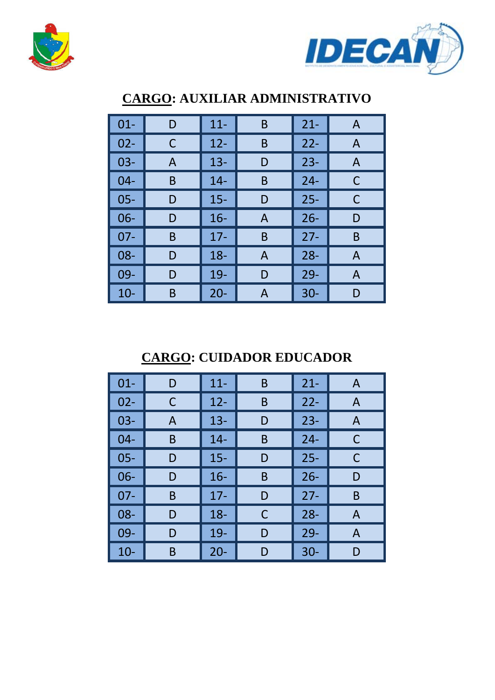



| $01 -$ | D | $11 -$ | B | $21 -$ | A            |
|--------|---|--------|---|--------|--------------|
| $02 -$ | С | $12 -$ | B | $22 -$ | A            |
| $03 -$ | A | $13 -$ | D | $23 -$ | $\mathsf{A}$ |
| $04 -$ | B | $14 -$ | B | $24 -$ | С            |
| $05 -$ | D | $15 -$ | D | $25 -$ | C            |
| $06 -$ | D | $16 -$ | A | $26 -$ | D            |
| $07-$  | B | $17 -$ | B | $27 -$ | B            |
| 08-    | D | $18 -$ | A | $28 -$ | A            |
| $09 -$ | D | 19-    | D | $29 -$ | $\mathsf{A}$ |
| $10-$  | Β | $20 -$ | A | $30 -$ | D            |

### **CARGO: AUXILIAR ADMINISTRATIVO**

### **CARGO: CUIDADOR EDUCADOR**

| $01 -$ | D | $11 -$ | B | $21 -$ | A |
|--------|---|--------|---|--------|---|
| $02 -$ | С | $12 -$ | B | $22 -$ | A |
| $03 -$ | A | $13 -$ | D | $23 -$ | A |
| $04 -$ | B | $14 -$ | B | $24 -$ | C |
| $05 -$ | D | $15 -$ | D | $25 -$ | С |
| $06 -$ | D | $16 -$ | B | $26 -$ | D |
| $07 -$ | B | $17 -$ | D | $27 -$ | B |
| 08-    | D | $18 -$ | С | $28 -$ | A |
| 09-    | D | 19-    | D | $29 -$ | A |
| $10-$  | B | $20 -$ | D | $30 -$ | D |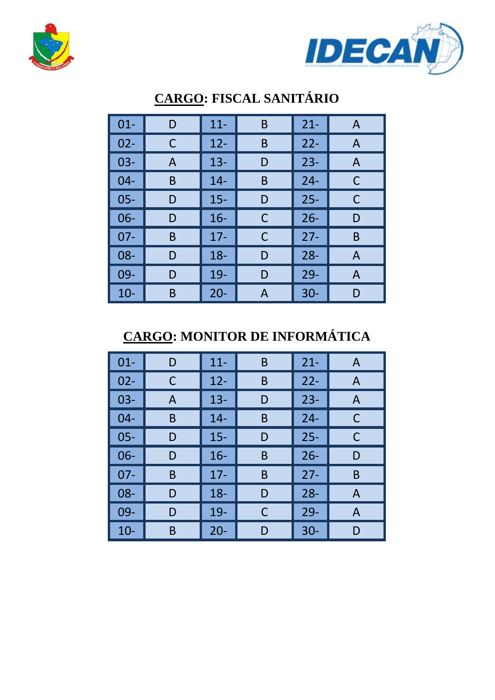



| $01 -$ | D | $11 -$ | B | $21 -$ | A |
|--------|---|--------|---|--------|---|
| $02 -$ | С | $12 -$ | B | $22 -$ | A |
| $03 -$ | A | $13 -$ | D | $23 -$ | A |
| $04 -$ | B | $14 -$ | B | $24 -$ | C |
| $05 -$ | D | $15 -$ | D | $25 -$ | C |
| $06 -$ | D | $16 -$ | C | $26 -$ | D |
| $07 -$ | B | $17 -$ | C | $27 -$ | B |
| 08-    | D | $18 -$ | D | $28 -$ | A |
| 09-    | D | $19-$  | D | $29 -$ | A |
| $10-$  | Β | $20 -$ | А | $30 -$ | D |

## **CARGO: FISCAL SANITÁRIO**

## **CARGO: MONITOR DE INFORMÁTICA**

| $01 -$ | D | $11 -$ | B | $21 -$ | A            |
|--------|---|--------|---|--------|--------------|
| $02 -$ | С | $12 -$ | B | $22 -$ | A            |
| $03 -$ | A | $13 -$ | D | $23 -$ | $\mathsf{A}$ |
| $04 -$ | B | $14 -$ | B | $24 -$ | C            |
| $05 -$ | D | $15 -$ | D | $25 -$ | C            |
| 06-    | D | $16 -$ | B | $26 -$ | D            |
| 07-    | B | $17 -$ | Β | $27 -$ | B            |
| 08-    | D | $18 -$ | D | $28 -$ | $\mathsf{A}$ |
| 09-    | D | 19-    | С | $29 -$ | A            |
| $10-$  | B | $20 -$ | D | $30 -$ | D            |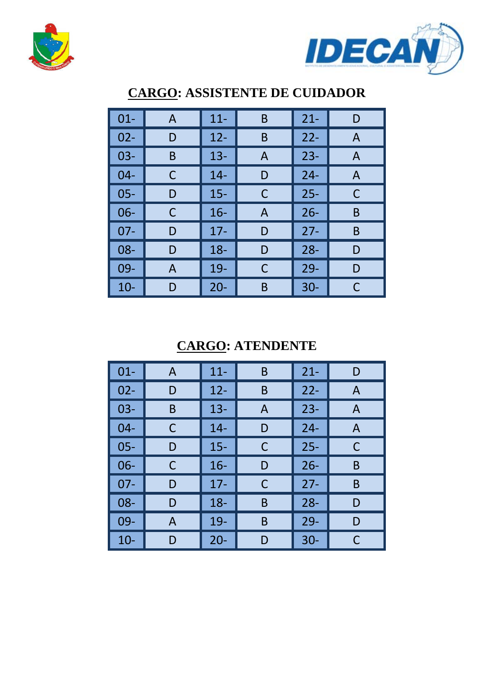



| $01 -$ | $\mathsf{A}$ | $11 -$ | B | $21 -$ | D            |
|--------|--------------|--------|---|--------|--------------|
| $02 -$ | D            | $12 -$ | B | $22 -$ | A            |
| $03 -$ | B            | $13 -$ | A | $23 -$ | A            |
| $04 -$ | С            | $14 -$ | D | $24 -$ | $\mathsf{A}$ |
| $05 -$ | D            | $15 -$ | C | $25 -$ | C            |
| $06 -$ | С            | $16 -$ | A | $26 -$ | B            |
| $07 -$ | D            | $17 -$ | D | $27 -$ | B            |
| $08 -$ | D            | $18 -$ | D | $28 -$ | D            |
| 09-    | A            | 19-    | С | $29-$  | D            |
| $10-$  | D            | $20 -$ | B | $30 -$ | С            |

### **CARGO: ASSISTENTE DE CUIDADOR**

**CARGO: ATENDENTE** 

| $01 -$ | A | $11 -$ | B | $21 -$ | D |
|--------|---|--------|---|--------|---|
| $02 -$ | D | $12 -$ | B | $22 -$ | A |
| $03 -$ | B | $13 -$ | A | $23 -$ | A |
| $04 -$ | C | $14 -$ | D | $24 -$ | A |
| $05 -$ | D | $15 -$ | С | $25 -$ | C |
| $06 -$ | C | $16 -$ | D | $26 -$ | B |
| $07 -$ | D | $17 -$ | C | $27 -$ | B |
| 08-    | D | $18 -$ | B | $28 -$ | D |
| 09-    | A | 19-    | B | $29 -$ | D |
| $10-$  | D | $20 -$ | D | $30 -$ | C |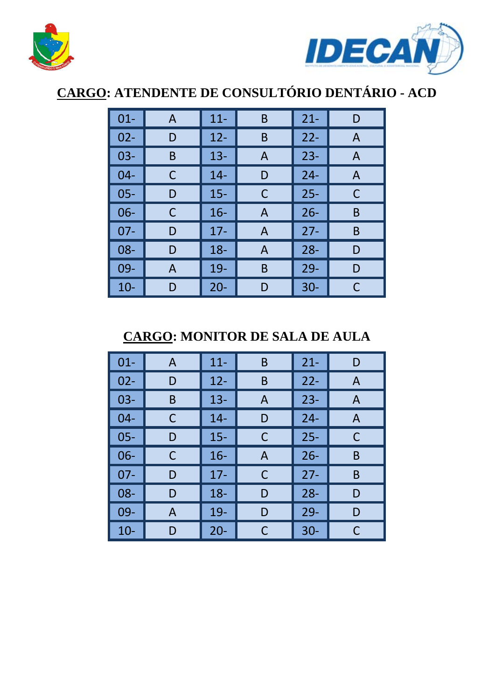



# **CARGO: ATENDENTE DE CONSULTÓRIO DENTÁRIO - ACD**

| $01 -$ | A | $11 -$ | B | $21 -$ | D |
|--------|---|--------|---|--------|---|
| $02 -$ | D | $12 -$ | B | $22 -$ | A |
| $03 -$ | B | $13 -$ | Α | $23 -$ | A |
| $04 -$ | C | $14 -$ | D | $24 -$ | A |
| $05 -$ | D | $15 -$ | С | $25 -$ | C |
| $06 -$ | С | $16-$  | A | $26 -$ | B |
| $07 -$ | D | $17 -$ | A | $27 -$ | B |
| 08-    | D | $18 -$ | Α | $28 -$ | D |
| 09-    | A | 19-    | B | $29 -$ | D |
| $10-$  | D | $20 -$ | D | $30 -$ | C |

**CARGO: MONITOR DE SALA DE AULA** 

| $01 -$ | A | $11 -$ | B | $21 -$ | D |
|--------|---|--------|---|--------|---|
| $02 -$ | D | $12 -$ | B | $22 -$ | A |
| $03 -$ | B | $13 -$ | A | $23 -$ | A |
| $04 -$ | C | $14 -$ | D | $24 -$ | A |
| $05 -$ | D | $15 -$ | С | $25 -$ | C |
| 06-    | С | $16 -$ | Α | $26 -$ | B |
| $07 -$ | D | $17 -$ | C | $27 -$ | B |
| 08-    | D | $18 -$ | D | $28 -$ | D |
| 09-    | A | 19-    | D | $29 -$ | D |
| $10 -$ | D | $20 -$ | С | $30 -$ |   |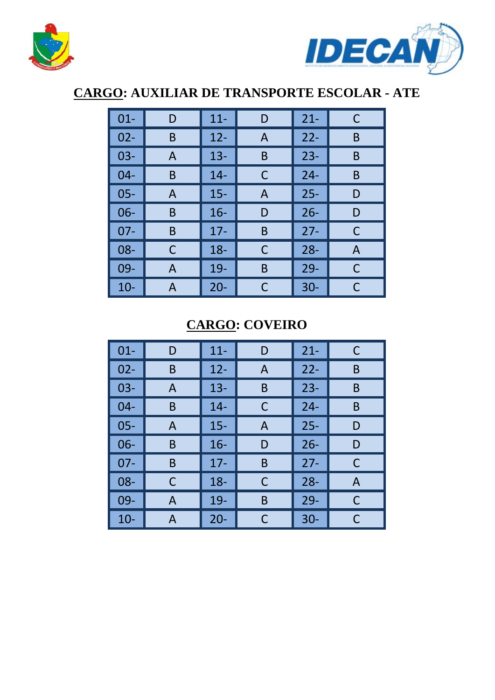



## **CARGO: AUXILIAR DE TRANSPORTE ESCOLAR - ATE**

| $01 -$ | D | $11 -$ | D | $21 -$ | C |
|--------|---|--------|---|--------|---|
| $02 -$ | B | $12 -$ | A | $22 -$ | B |
| $03 -$ | A | $13 -$ | B | $23 -$ | B |
| $04 -$ | B | $14 -$ | C | $24 -$ | B |
| $05 -$ | A | $15 -$ | A | $25 -$ | D |
| $06 -$ | B | $16 -$ | D | $26 -$ | D |
| $07 -$ | B | $17 -$ | B | $27 -$ | C |
| $08 -$ | C | $18 -$ | C | $28 -$ | A |
| 09-    | A | 19-    | B | $29 -$ | C |
| $10 -$ | A | $20 -$ | C | $30 -$ | C |

#### **CARGO: COVEIRO**

| $01 -$ | D | $11 -$ | D | $21 -$ | C |
|--------|---|--------|---|--------|---|
| $02 -$ | B | $12 -$ | A | $22 -$ | B |
| $03 -$ | A | $13 -$ | B | $23 -$ | B |
| $04 -$ | B | $14 -$ | C | $24 -$ | B |
| $05 -$ | A | $15 -$ | A | $25 -$ | D |
| $06 -$ | B | $16 -$ | D | $26 -$ | D |
| $07 -$ | B | $17 -$ | B | $27 -$ | С |
| 08-    | С | $18 -$ | C | $28 -$ | A |
| 09-    | A | 19-    | B | $29 -$ | C |
| $10 -$ | A | $20 -$ | С | $30 -$ | С |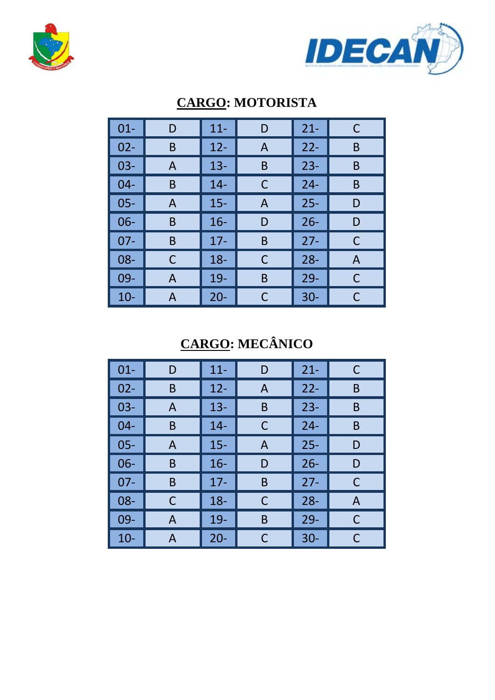



| $01 -$ | D | $11 -$ | D | $21 -$ | C |
|--------|---|--------|---|--------|---|
| $02 -$ | B | $12 -$ | A | $22 -$ | B |
| $03 -$ | A | $13 -$ | B | $23 -$ | B |
| $04 -$ | B | $14 -$ | C | $24 -$ | B |
| $05 -$ | A | $15 -$ | A | $25 -$ | D |
| $06 -$ | B | $16 -$ | D | $26 -$ | D |
| $07 -$ | B | $17 -$ | Β | $27 -$ | С |
| $08 -$ | C | $18 -$ | C | $28 -$ | A |
| 09-    | A | 19-    | B | $29 -$ | C |
| $10 -$ | A | $20 -$ | C | $30 -$ | С |

### **CARGO: MOTORISTA**

## **CARGO: MECÂNICO**

| $01 -$ | D            | $11 -$ | D | $21 -$ | C |
|--------|--------------|--------|---|--------|---|
| $02 -$ | B            | $12 -$ | A | $22 -$ | B |
| $03 -$ | $\mathsf{A}$ | $13 -$ | B | $23 -$ | B |
| $04 -$ | B            | $14 -$ | С | $24 -$ | B |
| $05 -$ | A            | $15 -$ | A | $25 -$ | D |
| $06 -$ | B            | $16 -$ | D | $26 -$ | D |
| $07 -$ | B            | $17 -$ | Β | $27 -$ | C |
| 08-    | C            | $18 -$ | C | $28 -$ | A |
| 09-    | A            | 19-    | B | $29 -$ | C |
| $10-$  | A            | $20 -$ |   | $30 -$ | C |